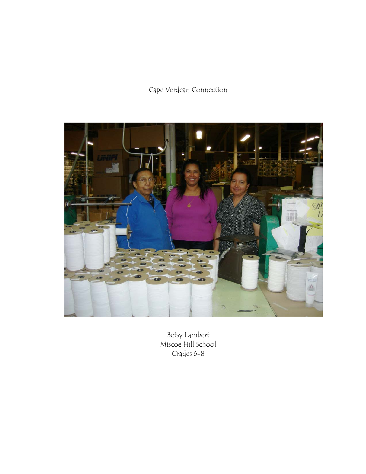# Cape Verdean Connection



Betsy Lambert Miscoe Hill School Grades 6-8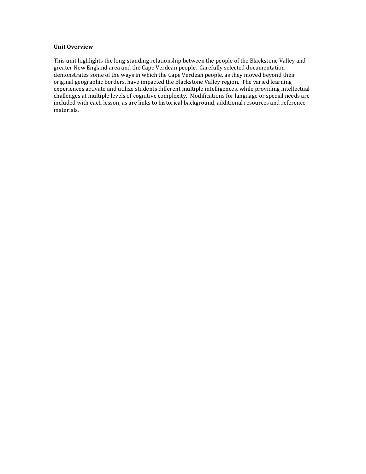## **Unit Overview**

This unit highlights the long-standing relationship between the people of the Blackstone Valley and greater New England area and the Cape Verdean people. Carefully selected documentation demonstrates some of the ways in which the Cape Verdean people, as they moved beyond their original geographic borders, have impacted the Blackstone Valley region. The varied learning experiences activate and utilize students different multiple intelligences, while providing intellectual challenges at multiple levels of cognitive complexity. Modifications for language or special needs are included with each lesson, as are links to historical background, additional resources and reference materials.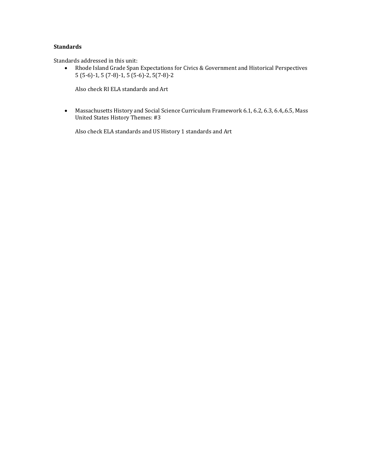# **Standards**

Standards addressed in this unit:

• Rhode Island Grade Span Expectations for Civics & Government and Historical Perspectives 5 (5‐6)‐1, 5 (7‐8)‐1, 5 (5‐6)‐2, 5(7‐8)‐2 

Also check RI ELA standards and Art

• Massachusetts History and Social Science Curriculum Framework 6.1, 6.2, 6.3, 6.4, 6.5, Mass United States History Themes: #3

Also check ELA standards and US History 1 standards and Art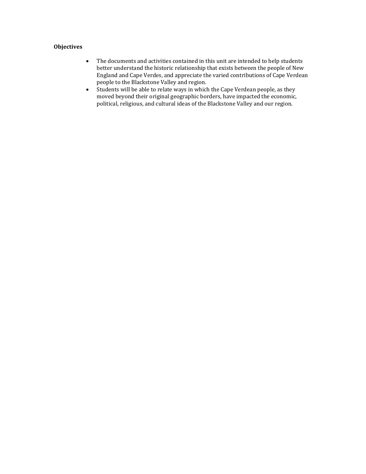# **Objectives**

- The documents and activities contained in this unit are intended to help students better understand the historic relationship that exists between the people of New England and Cape Verdes, and appreciate the varied contributions of Cape Verdean people to the Blackstone Valley and region.
- Students will be able to relate ways in which the Cape Verdean people, as they moved beyond their original geographic borders, have impacted the economic, political, religious, and cultural ideas of the Blackstone Valley and our region.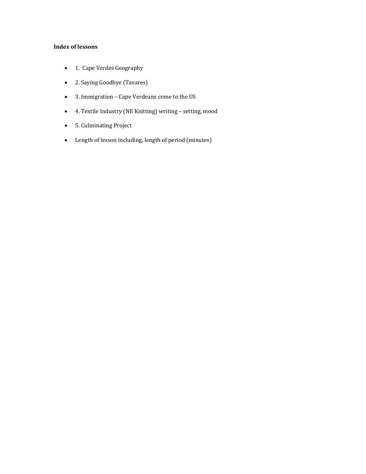## **Index of lessons**

- 1. Cape Verdes Geography
- 2. Saying Goodbye (Tavares)
- 3. Immigration Cape Verdeans come to the US
- 4. Textile Industry (NE Knitting) writing setting, mood
- 5. Culminating Project
- Length of lesson including, length of period (minutes)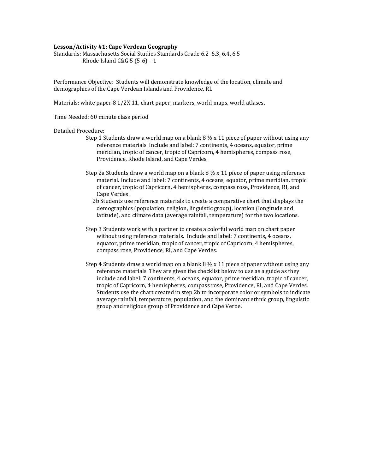#### **Lesson/Activity #1: Cape Verdean Geography**

Standards: Massachusetts Social Studies Standards Grade 6.2 6.3, 6.4, 6.5 Rhode Island  $C&G$  5 (5-6) – 1

Performance Objective: Students will demonstrate knowledge of the location, climate and demographics of the Cape Verdean Islands and Providence, RI.

Materials: white paper  $8\frac{1}{2X}$  11, chart paper, markers, world maps, world atlases.

Time Needed: 60 minute class period

Detailed Procedure: 

- Step 1 Students draw a world map on a blank 8  $\frac{1}{2}$  x 11 piece of paper without using any reference materials. Include and label: 7 continents, 4 oceans, equator, prime meridian, tropic of cancer, tropic of Capricorn, 4 hemispheres, compass rose, Providence, Rhode Island, and Cape Verdes.
- Step 2a Students draw a world map on a blank  $8 \frac{1}{2} \times 11$  piece of paper using reference material. Include and label: 7 continents, 4 oceans, equator, prime meridian, tropic of cancer, tropic of Capricorn, 4 hemispheres, compass rose, Providence, RI, and Cape Verdes.
	- 2b Students use reference materials to create a comparative chart that displays the demographics (population, religion, linguistic group), location (longitude and latitude), and climate data (average rainfall, temperature) for the two locations.
- Step 3 Students work with a partner to create a colorful world map on chart paper without using reference materials. Include and label: 7 continents, 4 oceans, equator, prime meridian, tropic of cancer, tropic of Capricorn, 4 hemispheres, compass rose, Providence, RI, and Cape Verdes.
- Step 4 Students draw a world map on a blank  $8\frac{1}{2} \times 11$  piece of paper without using any reference materials. They are given the checklist below to use as a guide as they include and label: 7 continents, 4 oceans, equator, prime meridian, tropic of cancer, tropic of Capricorn, 4 hemispheres, compass rose, Providence, RI, and Cape Verdes. Students use the chart created in step 2b to incorporate color or symbols to indicate average rainfall, temperature, population, and the dominant ethnic group, linguistic group and religious group of Providence and Cape Verde.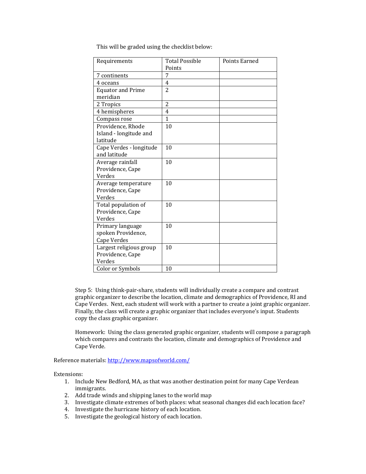This will be graded using the checklist below:

| Requirements             | <b>Total Possible</b><br>Points | Points Earned |
|--------------------------|---------------------------------|---------------|
| 7 continents             | 7                               |               |
| 4 oceans                 | 4                               |               |
| <b>Equator and Prime</b> | $\overline{2}$                  |               |
| meridian                 |                                 |               |
| 2 Tropics                | $\overline{2}$                  |               |
| 4 hemispheres            | 4                               |               |
| Compass rose             | $\mathbf{1}$                    |               |
| Providence, Rhode        | 10                              |               |
| Island - longitude and   |                                 |               |
| latitude                 |                                 |               |
| Cape Verdes - longitude  | 10                              |               |
| and latitude             |                                 |               |
| Average rainfall         | 10                              |               |
| Providence, Cape         |                                 |               |
| Verdes                   |                                 |               |
| Average temperature      | 10                              |               |
| Providence, Cape         |                                 |               |
| Verdes                   |                                 |               |
| Total population of      | 10                              |               |
| Providence, Cape         |                                 |               |
| Verdes                   |                                 |               |
| Primary language         | 10                              |               |
| spoken Providence,       |                                 |               |
| Cape Verdes              |                                 |               |
| Largest religious group  | 10                              |               |
| Providence, Cape         |                                 |               |
| Verdes                   |                                 |               |
| Color or Symbols         | 10                              |               |

Step 5: Using think-pair-share, students will individually create a compare and contrast graphic organizer to describe the location, climate and demographics of Providence, RI and Cape Verdes. Next, each student will work with a partner to create a joint graphic organizer. Finally, the class will create a graphic organizer that includes everyone's input. Students copy the class graphic organizer.

Homework: Using the class generated graphic organizer, students will compose a paragraph which compares and contrasts the location, climate and demographics of Providence and Cape Verde. 

Reference materials: http://www.mapsofworld.com/

Extensions: 

- 1. Include New Bedford, MA, as that was another destination point for many Cape Verdean immigrants.
- 2. Add trade winds and shipping lanes to the world map
- 3. Investigate climate extremes of both places: what seasonal changes did each location face?
- 4. Investigate the hurricane history of each location.
- 5. Investigate the geological history of each location.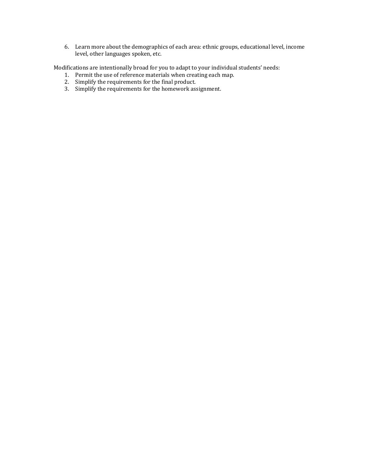6. Learn more about the demographics of each area: ethnic groups, educational level, income level, other languages spoken, etc.

Modifications are intentionally broad for you to adapt to your individual students' needs:

- 1. Permit the use of reference materials when creating each map.
- 2. Simplify the requirements for the final product.
- 3. Simplify the requirements for the homework assignment.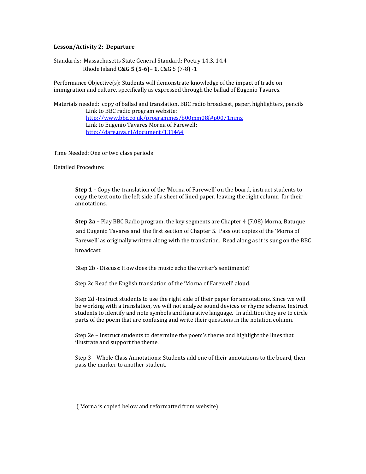#### **Lesson/Activity 2: Departure**

Standards: Massachusetts State General Standard: Poetry 14.3, 14.4 Rhode Island C**&G 5 (5‐6)– 1,** C&G 5 (7‐8) ‐1 

Performance  $Objective(s)$ : Students will demonstrate knowledge of the impact of trade on immigration and culture, specifically as expressed through the ballad of Eugenio Tavares.

Materials needed: copy of ballad and translation, BBC radio broadcast, paper, highlighters, pencils Link to BBC radio program website: http://www.bbc.co.uk/programmes/b00mm08f#p0071mmz Link to Eugenio Tavares Morna of Farewell: http://dare.uva.nl/document/131464

Time Needed: One or two class periods

Detailed Procedure: 

**Step 1** – Copy the translation of the 'Morna of Farewell' on the board, instruct students to copy the text onto the left side of a sheet of lined paper, leaving the right column for their annotations. 

**Step 2a** – Play BBC Radio program, the key segments are Chapter 4 (7.08) Morna, Batuque and Eugenio Tavares and the first section of Chapter 5. Pass out copies of the 'Morna of Farewell' as originally written along with the translation. Read along as it is sung on the BBC broadcast. 

Step 2b - Discuss: How does the music echo the writer's sentiments?

Step 2c Read the English translation of the 'Morna of Farewell' aloud.

Step 2d -Instruct students to use the right side of their paper for annotations. Since we will be working with a translation, we will not analyze sound devices or rhyme scheme. Instruct students to identify and note symbols and figurative language. In addition they are to circle parts of the poem that are confusing and write their questions in the notation column.

Step 2e - Instruct students to determine the poem's theme and highlight the lines that illustrate and support the theme.

Step 3 - Whole Class Annotations: Students add one of their annotations to the board, then pass the marker to another student.

(Morna is copied below and reformatted from website)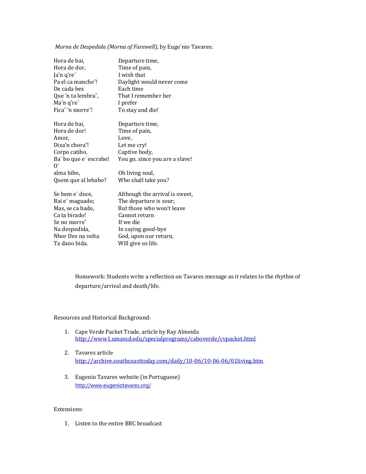## *Morna de Despedida (Morna of Farewell)*, by Euge´nio Tavares:

| Hora de bai,<br>Hora de dor,<br>Ja'n q're'<br>Pa el ca manche <sup>2</sup> !<br>De cada bez<br>Que 'n ta lembra <sup>^</sup> ,<br>Ma'n q're'<br>Fica <sup>^</sup> 'n morre <sup>^!</sup> | Departure time,<br>Time of pain,<br>I wish that<br>Daylight would never come<br>Each time<br>That I remember her<br>I prefer<br>To stay and die! |  |
|------------------------------------------------------------------------------------------------------------------------------------------------------------------------------------------|--------------------------------------------------------------------------------------------------------------------------------------------------|--|
| Hora de bai,                                                                                                                                                                             | Departure time,                                                                                                                                  |  |
| Hora de dor!                                                                                                                                                                             | Time of pain,                                                                                                                                    |  |
| Amor,                                                                                                                                                                                    | Love.                                                                                                                                            |  |
| Dixa'n chora <sup>^!</sup>                                                                                                                                                               | Let me cry!                                                                                                                                      |  |
| Corpo catibo,                                                                                                                                                                            | Captive body,                                                                                                                                    |  |
| Ba' bo que e' escrabo!<br>O'                                                                                                                                                             | You go, since you are a slave!                                                                                                                   |  |
| alma bibo,                                                                                                                                                                               | Oh living soul,                                                                                                                                  |  |
| Quem que al lebabo?                                                                                                                                                                      | Who shall take you?                                                                                                                              |  |
| Se bem e' doce,                                                                                                                                                                          | Although the arrival is sweet,                                                                                                                   |  |
| Bai e' maguado;                                                                                                                                                                          | The departure is sour;                                                                                                                           |  |
| Mas, se ca bado,                                                                                                                                                                         | But those who won't leave                                                                                                                        |  |
| Ca ta birado!                                                                                                                                                                            | Cannot return                                                                                                                                    |  |
| Se no morre^                                                                                                                                                                             | If we die                                                                                                                                        |  |
| Na despedida,                                                                                                                                                                            | In saying good-bye                                                                                                                               |  |
| Nhor Des na volta                                                                                                                                                                        | God, upon our return,                                                                                                                            |  |
| Ta dano bida.                                                                                                                                                                            | Will give us life.                                                                                                                               |  |

Homework: Students write a reflection on Tavares message as it relates to the rhythm of departure/arrival and death/life.

Resources and Historical Background:

- 1. Cape Verde Packet Trade, article by Ray Almeida http://www1.umassd.edu/specialprograms/caboverde/cvpacket.html
- 2. Tavares article http://archive.southcoasttoday.com/daily/10‐06/10‐06‐06/01living.htm
- 3. Eugenio Tavares website (in Portuguese) http://www.eugeniotavares.org/

### Extensions:

1. Listen to the entire BBC broadcast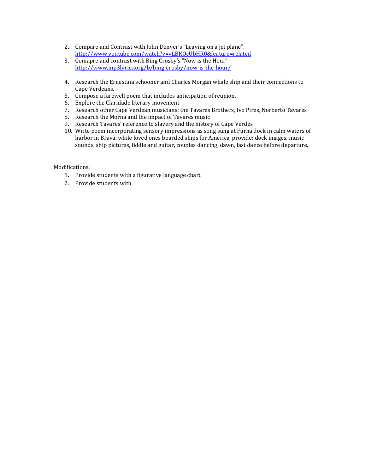- 2. Compare and Contrast with John Denver's "Leaving on a jet plane". http://www.youtube.com/watch?v=vLBKOcUbHR0&feature=related
- 3. Comapre and contrast with Bing Crosby's "Now is the Hour" http://www.mp3lyrics.org/b/bing‐crosby/now‐is‐the‐hour/
- 4. Research the Ernestina schooner and Charles Morgan whale ship and their connections to Cape Verdeans.
- 5. Compose a farewell poem that includes anticipation of reunion.
- 6. Explore the Claridade literary movement
- 7. Research other Cape Verdean musicians: the Tavares Brothers, Ivo Pires, Norberto Tavares
- 8. Research the Morna and the impact of Tavares music
- 9. Research Tavares' reference to slavery and the history of Cape Verdes
- 10. Write poem incorporating sensory impressions as song sung at Furna dock in calm waters of harbor in Brava, while loved ones boarded ships for America, provide: dock images, music sounds, ship pictures, fiddle and guitar, couples dancing, dawn, last dance before departure.

### Modifications:

- 1. Provide students with a figurative language chart
- 2. Provide students with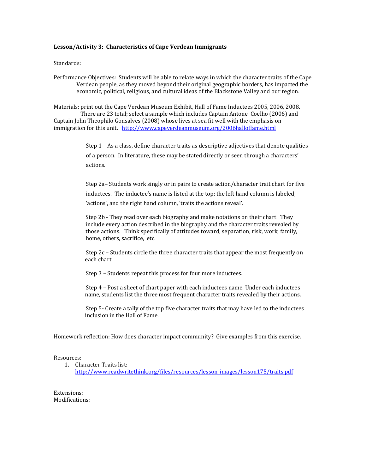#### **Lesson/Activity 3: Characteristics of Cape Verdean Immigrants**

#### Standards:

Performance Objectives: Students will be able to relate ways in which the character traits of the Cape Verdean people, as they moved beyond their original geographic borders, has impacted the economic, political, religious, and cultural ideas of the Blackstone Valley and our region.

Materials: print out the Cape Verdean Museum Exhibit, Hall of Fame Inductees 2005, 2006, 2008. There are 23 total; select a sample which includes Captain Antone Coelho (2006) and Captain John Theophilo Gonsalves (2008) whose lives at sea fit well with the emphasis on immigration for this unit. http://www.capeverdeanmuseum.org/2006halloffame.html

> Step  $1 - As$  a class, define character traits as descriptive adjectives that denote qualities of a person. In literature, these may be stated directly or seen through a characters' actions.

Step 2a- Students work singly or in pairs to create action/character trait chart for five inductees. The inductee's name is listed at the top; the left hand column is labeled, 'actions', and the right hand column, 'traits the actions reveal'.

Step 2b - They read over each biography and make notations on their chart. They include every action described in the biography and the character traits revealed by those actions. Think specifically of attitudes toward, separation, risk, work, family, home, others, sacrifice, etc.

Step  $2c$  – Students circle the three character traits that appear the most frequently on each chart. 

Step 3 - Students repeat this process for four more inductees.

Step 4 - Post a sheet of chart paper with each inductees name. Under each inductees name, students list the three most frequent character traits revealed by their actions.

Step 5- Create a tally of the top five character traits that may have led to the inductees inclusion in the Hall of Fame.

Homework reflection: How does character impact community? Give examples from this exercise.

Resources: 

1. Character Traits list: http://www.readwritethink.org/files/resources/lesson\_images/lesson175/traits.pdf

Extensions: Modifications: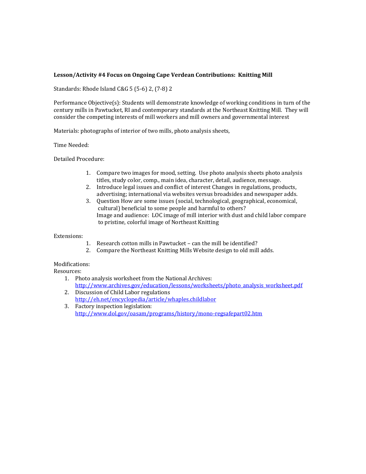## **Lesson/Activity #4 Focus on Ongoing Cape Verdean Contributions: Knitting Mill**

Standards: Rhode Island C&G 5 (5-6) 2, (7-8) 2

Performance Objective(s): Students will demonstrate knowledge of working conditions in turn of the century mills in Pawtucket, RI and contemporary standards at the Northeast Knitting Mill. They will consider the competing interests of mill workers and mill owners and governmental interest

Materials: photographs of interior of two mills, photo analysis sheets,

Time Needed: 

Detailed Procedure:

- 1. Compare two images for mood, setting. Use photo analysis sheets photo analysis titles, study color, comp., main idea, character, detail, audience, message.
- 2. Introduce legal issues and conflict of interest Changes in regulations, products, advertising; international via websites versus broadsides and newspaper adds.
- 3. Question How are some issues (social, technological, geographical, economical, cultural) beneficial to some people and harmful to others? Image and audience: LOC image of mill interior with dust and child labor compare to pristine, colorful image of Northeast Knitting

Extensions: 

- 1. Research cotton mills in Pawtucket can the mill be identified?
- 2. Compare the Northeast Knitting Mills Website design to old mill adds.

Modifications: 

Resources: 

- 1. Photo analysis worksheet from the National Archives: http://www.archives.gov/education/lessons/worksheets/photo\_analysis\_worksheet.pdf
- 2. Discussion of Child Labor regulations http://eh.net/encyclopedia/article/whaples.childlabor
- 3. Factory inspection legislation: http://www.dol.gov/oasam/programs/history/mono‐regsafepart02.htm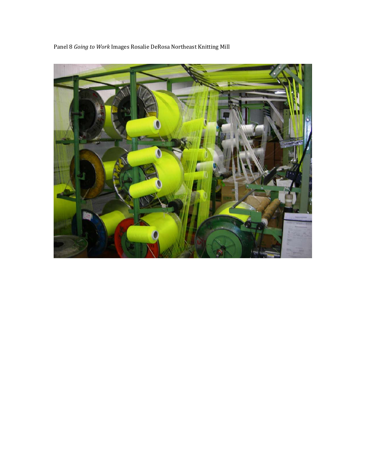

Panel 8 *Going to Work* Images Rosalie DeRosa Northeast Knitting Mill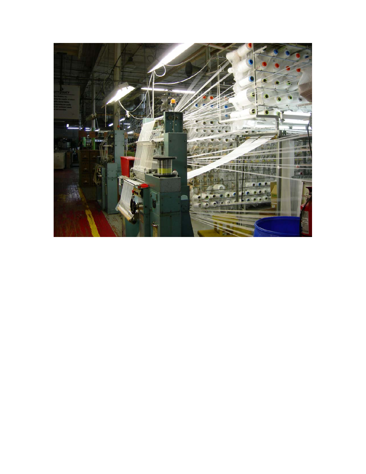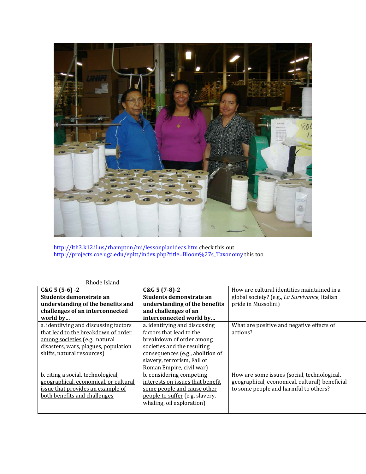

http://lth3.k12.il.us/rhampton/mi/lessonplanideas.htm check this out http://projects.coe.uga.edu/epltt/index.php?title=Bloom%27s\_Taxonomy this too

| Rhode Island                          |                                  |                                                |
|---------------------------------------|----------------------------------|------------------------------------------------|
| $C&G5(5-6)-2$                         | $C&G5(7-8)-2$                    | How are cultural identities maintained in a    |
| Students demonstrate an               | Students demonstrate an          | global society? (e.g., La Survivance, Italian  |
| understanding of the benefits and     | understanding of the benefits    | pride in Mussolini)                            |
| challenges of an interconnected       | and challenges of an             |                                                |
| world by                              | interconnected world by          |                                                |
| a. identifying and discussing factors | a. identifying and discussing    | What are positive and negative effects of      |
| that lead to the breakdown of order   | factors that lead to the         | actions?                                       |
| among societies (e.g., natural        | breakdown of order among         |                                                |
| disasters, wars, plagues, population  | societies and the resulting      |                                                |
| shifts, natural resources)            | consequences (e.g., abolition of |                                                |
|                                       | slavery, terrorism, Fall of      |                                                |
|                                       | Roman Empire, civil war)         |                                                |
| b. citing a social, technological.    | b. considering competing         | How are some issues (social, technological,    |
| geographical, economical, or cultural | interests on issues that benefit | geographical, economical, cultural) beneficial |
| issue that provides an example of     | some people and cause other      | to some people and harmful to others?          |
| both benefits and challenges          | people to suffer (e.g. slavery,  |                                                |
|                                       | whaling, oil exploration)        |                                                |
|                                       |                                  |                                                |